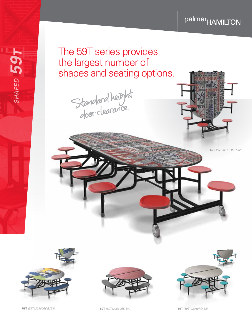## palmer<sub>HAMILTON</sub>









**59T** *(59T122960RDB2S4)* **59T** *(59T122960RD-B4)* **59T** *(59T122960RD-S8)*